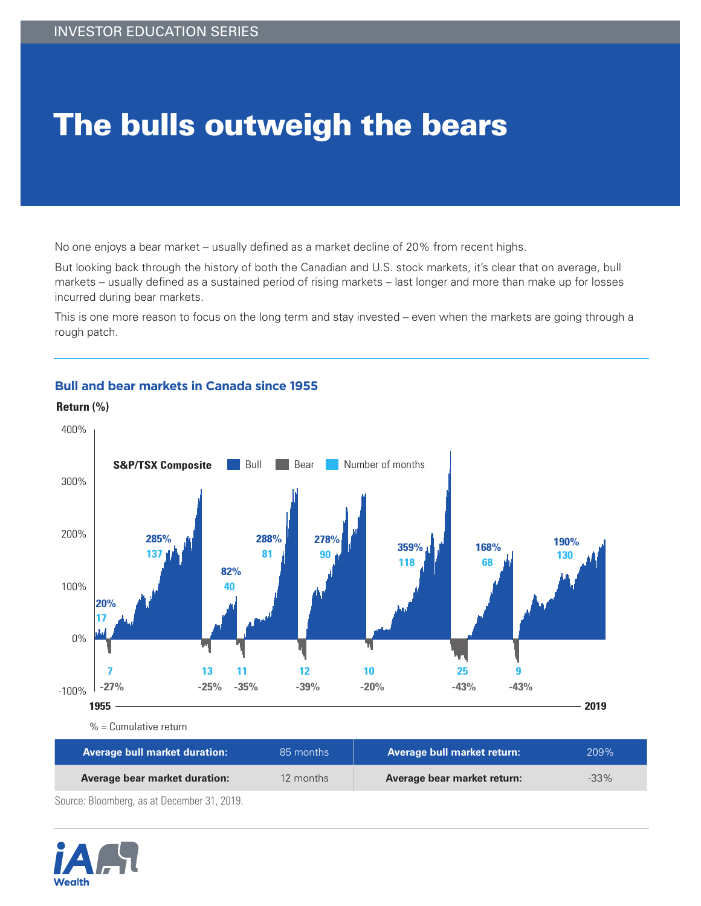## The bulls outweigh the bears

No one enjoys a bear market – usually defined as a market decline of 20% from recent highs.

But looking back through the history of both the Canadian and U.S. stock markets, it's clear that on average, bull markets – usually defined as a sustained period of rising markets – last longer and more than make up for losses incurred during bear markets.

This is one more reason to focus on the long term and stay invested – even when the markets are going through a rough patch.



## **Bull and bear markets in Canada since 1955**

**Average bull market duration:** 85 months **Average bull market return:** 209% **Average bear market duration:** 12 months **Average bear market return:** 133%

Source: Bloomberg, as at December 31, 2019.